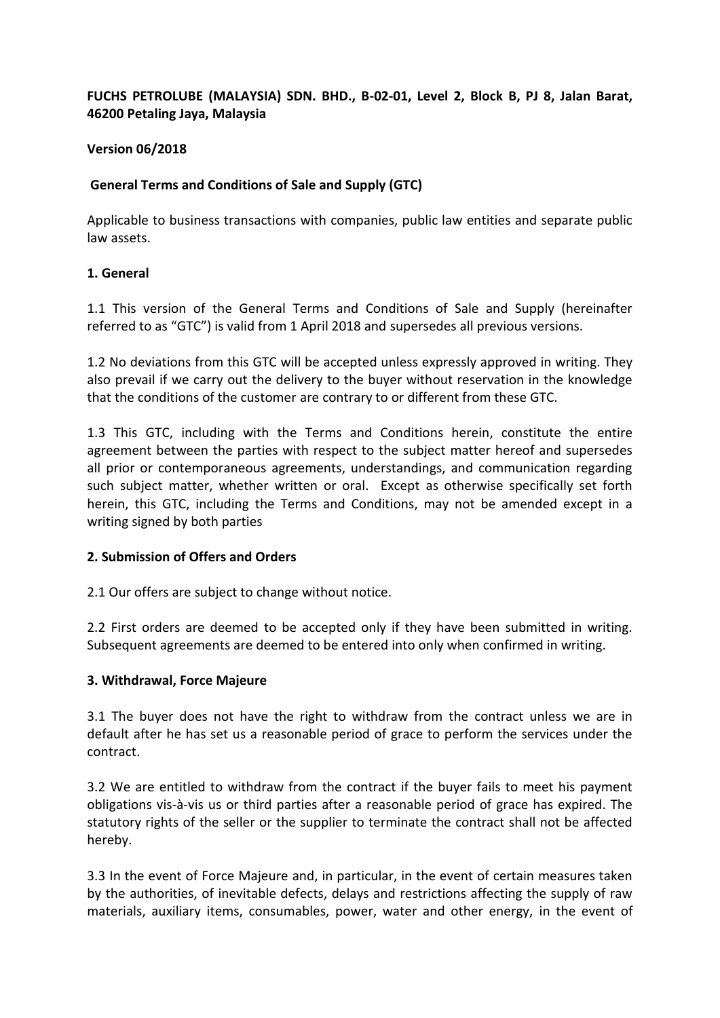# **FUCHS PETROLUBE (MALAYSIA) SDN. BHD., B-02-01, Level 2, Block B, PJ 8, Jalan Barat, 46200 Petaling Jaya, Malaysia**

#### **Version 06/2018**

#### **General Terms and Conditions of Sale and Supply (GTC)**

Applicable to business transactions with companies, public law entities and separate public law assets.

#### **1. General**

1.1 This version of the General Terms and Conditions of Sale and Supply (hereinafter referred to as "GTC") is valid from 1 April 2018 and supersedes all previous versions.

1.2 No deviations from this GTC will be accepted unless expressly approved in writing. They also prevail if we carry out the delivery to the buyer without reservation in the knowledge that the conditions of the customer are contrary to or different from these GTC.

1.3 This GTC, including with the Terms and Conditions herein, constitute the entire agreement between the parties with respect to the subject matter hereof and supersedes all prior or contemporaneous agreements, understandings, and communication regarding such subject matter, whether written or oral. Except as otherwise specifically set forth herein, this GTC, including the Terms and Conditions, may not be amended except in a writing signed by both parties

#### **2. Submission of Offers and Orders**

2.1 Our offers are subject to change without notice.

2.2 First orders are deemed to be accepted only if they have been submitted in writing. Subsequent agreements are deemed to be entered into only when confirmed in writing.

#### **3. Withdrawal, Force Majeure**

3.1 The buyer does not have the right to withdraw from the contract unless we are in default after he has set us a reasonable period of grace to perform the services under the contract.

3.2 We are entitled to withdraw from the contract if the buyer fails to meet his payment obligations vis-à-vis us or third parties after a reasonable period of grace has expired. The statutory rights of the seller or the supplier to terminate the contract shall not be affected hereby.

3.3 In the event of Force Majeure and, in particular, in the event of certain measures taken by the authorities, of inevitable defects, delays and restrictions affecting the supply of raw materials, auxiliary items, consumables, power, water and other energy, in the event of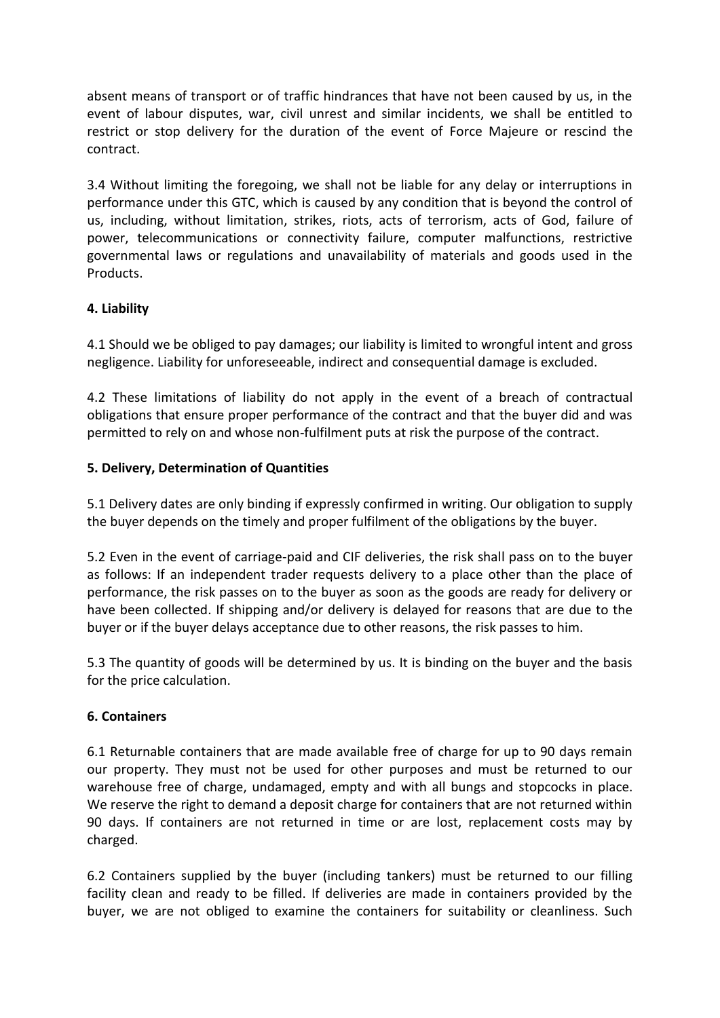absent means of transport or of traffic hindrances that have not been caused by us, in the event of labour disputes, war, civil unrest and similar incidents, we shall be entitled to restrict or stop delivery for the duration of the event of Force Majeure or rescind the contract.

3.4 Without limiting the foregoing, we shall not be liable for any delay or interruptions in performance under this GTC, which is caused by any condition that is beyond the control of us, including, without limitation, strikes, riots, acts of terrorism, acts of God, failure of power, telecommunications or connectivity failure, computer malfunctions, restrictive governmental laws or regulations and unavailability of materials and goods used in the Products.

# **4. Liability**

4.1 Should we be obliged to pay damages; our liability is limited to wrongful intent and gross negligence. Liability for unforeseeable, indirect and consequential damage is excluded.

4.2 These limitations of liability do not apply in the event of a breach of contractual obligations that ensure proper performance of the contract and that the buyer did and was permitted to rely on and whose non-fulfilment puts at risk the purpose of the contract.

# **5. Delivery, Determination of Quantities**

5.1 Delivery dates are only binding if expressly confirmed in writing. Our obligation to supply the buyer depends on the timely and proper fulfilment of the obligations by the buyer.

5.2 Even in the event of carriage-paid and CIF deliveries, the risk shall pass on to the buyer as follows: If an independent trader requests delivery to a place other than the place of performance, the risk passes on to the buyer as soon as the goods are ready for delivery or have been collected. If shipping and/or delivery is delayed for reasons that are due to the buyer or if the buyer delays acceptance due to other reasons, the risk passes to him.

5.3 The quantity of goods will be determined by us. It is binding on the buyer and the basis for the price calculation.

## **6. Containers**

6.1 Returnable containers that are made available free of charge for up to 90 days remain our property. They must not be used for other purposes and must be returned to our warehouse free of charge, undamaged, empty and with all bungs and stopcocks in place. We reserve the right to demand a deposit charge for containers that are not returned within 90 days. If containers are not returned in time or are lost, replacement costs may by charged.

6.2 Containers supplied by the buyer (including tankers) must be returned to our filling facility clean and ready to be filled. If deliveries are made in containers provided by the buyer, we are not obliged to examine the containers for suitability or cleanliness. Such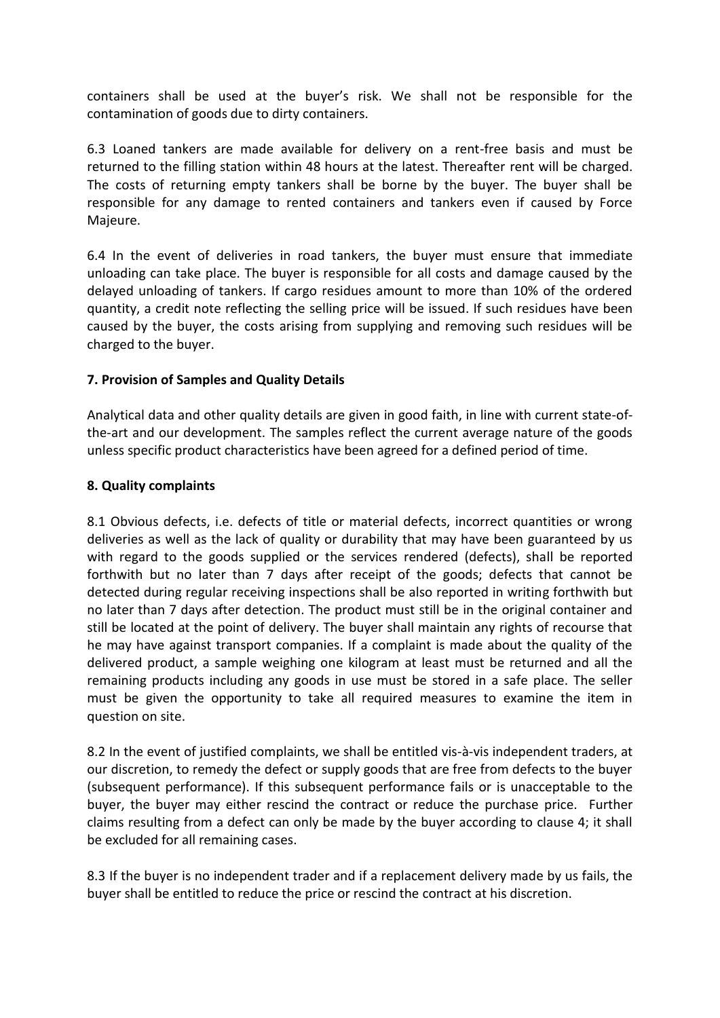containers shall be used at the buyer's risk. We shall not be responsible for the contamination of goods due to dirty containers.

6.3 Loaned tankers are made available for delivery on a rent-free basis and must be returned to the filling station within 48 hours at the latest. Thereafter rent will be charged. The costs of returning empty tankers shall be borne by the buyer. The buyer shall be responsible for any damage to rented containers and tankers even if caused by Force Majeure.

6.4 In the event of deliveries in road tankers, the buyer must ensure that immediate unloading can take place. The buyer is responsible for all costs and damage caused by the delayed unloading of tankers. If cargo residues amount to more than 10% of the ordered quantity, a credit note reflecting the selling price will be issued. If such residues have been caused by the buyer, the costs arising from supplying and removing such residues will be charged to the buyer.

## **7. Provision of Samples and Quality Details**

Analytical data and other quality details are given in good faith, in line with current state-ofthe-art and our development. The samples reflect the current average nature of the goods unless specific product characteristics have been agreed for a defined period of time.

#### **8. Quality complaints**

8.1 Obvious defects, i.e. defects of title or material defects, incorrect quantities or wrong deliveries as well as the lack of quality or durability that may have been guaranteed by us with regard to the goods supplied or the services rendered (defects), shall be reported forthwith but no later than 7 days after receipt of the goods; defects that cannot be detected during regular receiving inspections shall be also reported in writing forthwith but no later than 7 days after detection. The product must still be in the original container and still be located at the point of delivery. The buyer shall maintain any rights of recourse that he may have against transport companies. If a complaint is made about the quality of the delivered product, a sample weighing one kilogram at least must be returned and all the remaining products including any goods in use must be stored in a safe place. The seller must be given the opportunity to take all required measures to examine the item in question on site.

8.2 In the event of justified complaints, we shall be entitled vis-à-vis independent traders, at our discretion, to remedy the defect or supply goods that are free from defects to the buyer (subsequent performance). If this subsequent performance fails or is unacceptable to the buyer, the buyer may either rescind the contract or reduce the purchase price. Further claims resulting from a defect can only be made by the buyer according to clause 4; it shall be excluded for all remaining cases.

8.3 If the buyer is no independent trader and if a replacement delivery made by us fails, the buyer shall be entitled to reduce the price or rescind the contract at his discretion.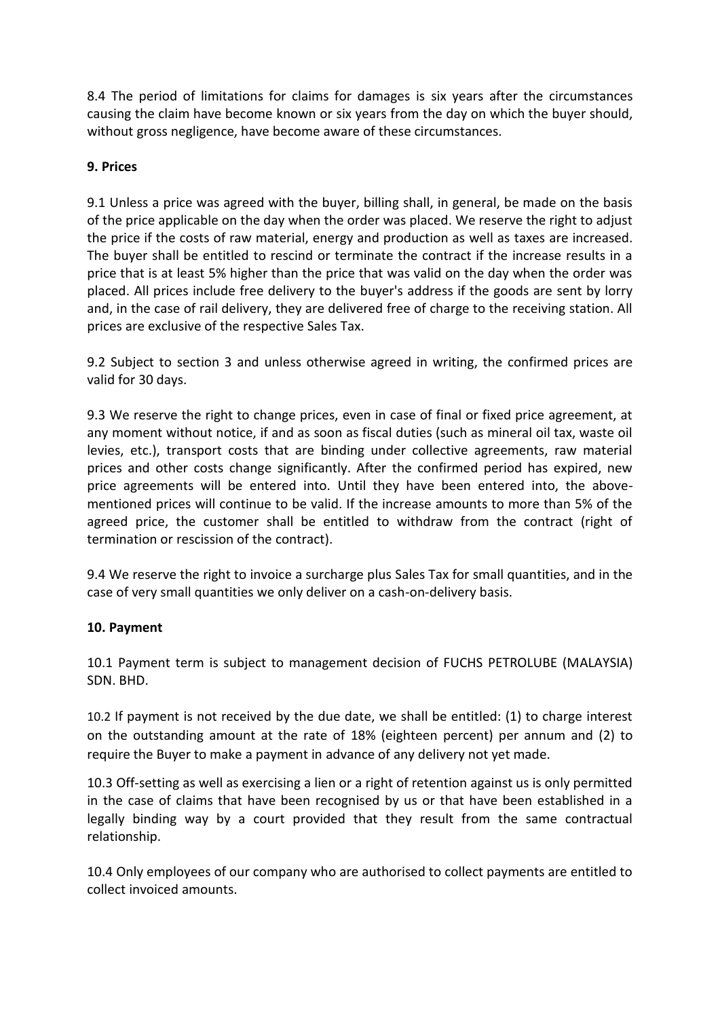8.4 The period of limitations for claims for damages is six years after the circumstances causing the claim have become known or six years from the day on which the buyer should, without gross negligence, have become aware of these circumstances.

## **9. Prices**

9.1 Unless a price was agreed with the buyer, billing shall, in general, be made on the basis of the price applicable on the day when the order was placed. We reserve the right to adjust the price if the costs of raw material, energy and production as well as taxes are increased. The buyer shall be entitled to rescind or terminate the contract if the increase results in a price that is at least 5% higher than the price that was valid on the day when the order was placed. All prices include free delivery to the buyer's address if the goods are sent by lorry and, in the case of rail delivery, they are delivered free of charge to the receiving station. All prices are exclusive of the respective Sales Tax.

9.2 Subject to section 3 and unless otherwise agreed in writing, the confirmed prices are valid for 30 days.

9.3 We reserve the right to change prices, even in case of final or fixed price agreement, at any moment without notice, if and as soon as fiscal duties (such as mineral oil tax, waste oil levies, etc.), transport costs that are binding under collective agreements, raw material prices and other costs change significantly. After the confirmed period has expired, new price agreements will be entered into. Until they have been entered into, the abovementioned prices will continue to be valid. If the increase amounts to more than 5% of the agreed price, the customer shall be entitled to withdraw from the contract (right of termination or rescission of the contract).

9.4 We reserve the right to invoice a surcharge plus Sales Tax for small quantities, and in the case of very small quantities we only deliver on a cash-on-delivery basis.

## **10. Payment**

10.1 Payment term is subject to management decision of FUCHS PETROLUBE (MALAYSIA) SDN. BHD.

10.2 If payment is not received by the due date, we shall be entitled: (1) to charge interest on the outstanding amount at the rate of 18% (eighteen percent) per annum and (2) to require the Buyer to make a payment in advance of any delivery not yet made.

10.3 Off-setting as well as exercising a lien or a right of retention against us is only permitted in the case of claims that have been recognised by us or that have been established in a legally binding way by a court provided that they result from the same contractual relationship.

10.4 Only employees of our company who are authorised to collect payments are entitled to collect invoiced amounts.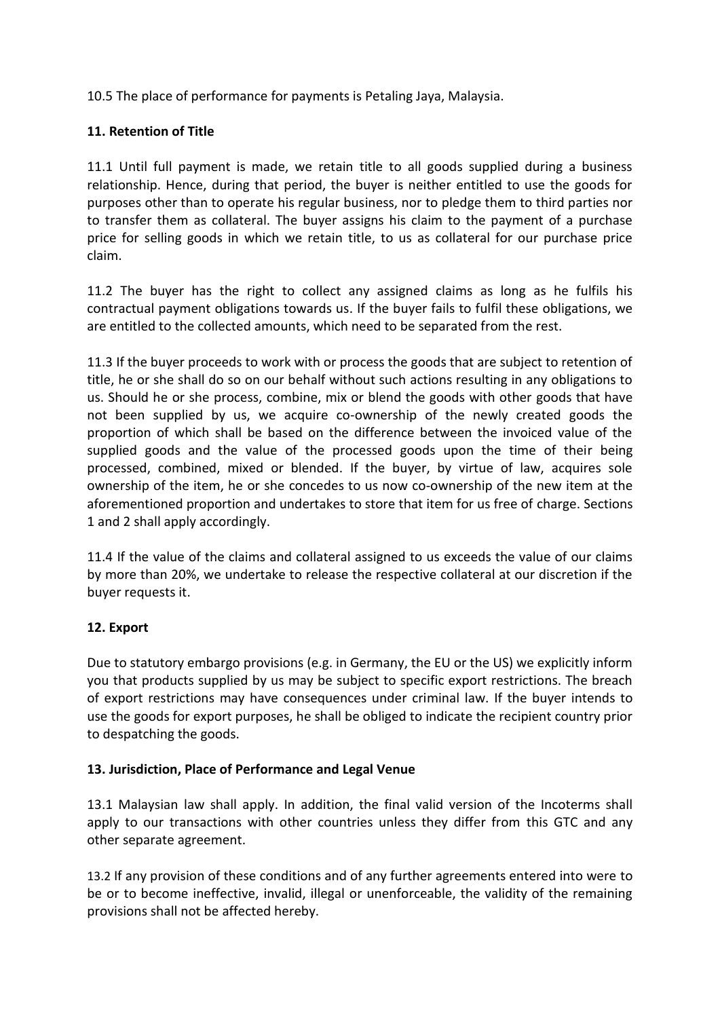10.5 The place of performance for payments is Petaling Jaya, Malaysia.

# **11. Retention of Title**

11.1 Until full payment is made, we retain title to all goods supplied during a business relationship. Hence, during that period, the buyer is neither entitled to use the goods for purposes other than to operate his regular business, nor to pledge them to third parties nor to transfer them as collateral. The buyer assigns his claim to the payment of a purchase price for selling goods in which we retain title, to us as collateral for our purchase price claim.

11.2 The buyer has the right to collect any assigned claims as long as he fulfils his contractual payment obligations towards us. If the buyer fails to fulfil these obligations, we are entitled to the collected amounts, which need to be separated from the rest.

11.3 If the buyer proceeds to work with or process the goods that are subject to retention of title, he or she shall do so on our behalf without such actions resulting in any obligations to us. Should he or she process, combine, mix or blend the goods with other goods that have not been supplied by us, we acquire co-ownership of the newly created goods the proportion of which shall be based on the difference between the invoiced value of the supplied goods and the value of the processed goods upon the time of their being processed, combined, mixed or blended. If the buyer, by virtue of law, acquires sole ownership of the item, he or she concedes to us now co-ownership of the new item at the aforementioned proportion and undertakes to store that item for us free of charge. Sections 1 and 2 shall apply accordingly.

11.4 If the value of the claims and collateral assigned to us exceeds the value of our claims by more than 20%, we undertake to release the respective collateral at our discretion if the buyer requests it.

## **12. Export**

Due to statutory embargo provisions (e.g. in Germany, the EU or the US) we explicitly inform you that products supplied by us may be subject to specific export restrictions. The breach of export restrictions may have consequences under criminal law. If the buyer intends to use the goods for export purposes, he shall be obliged to indicate the recipient country prior to despatching the goods.

## **13. Jurisdiction, Place of Performance and Legal Venue**

13.1 Malaysian law shall apply. In addition, the final valid version of the Incoterms shall apply to our transactions with other countries unless they differ from this GTC and any other separate agreement.

13.2 If any provision of these conditions and of any further agreements entered into were to be or to become ineffective, invalid, illegal or unenforceable, the validity of the remaining provisions shall not be affected hereby.